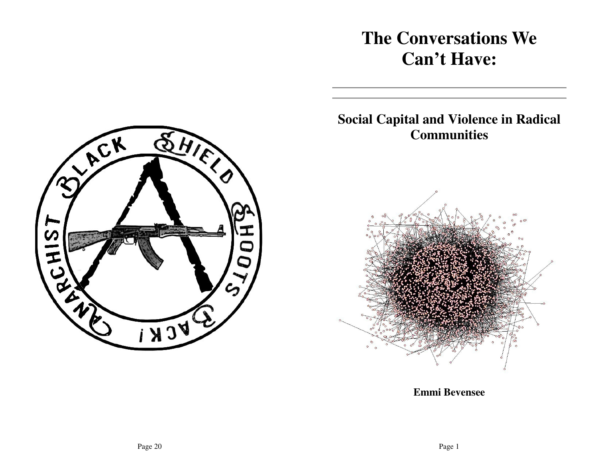# **The Conversations We Can't Have:**

# **Social Capital and Violence in Radical Communities**



**Emmi Bevensee** 

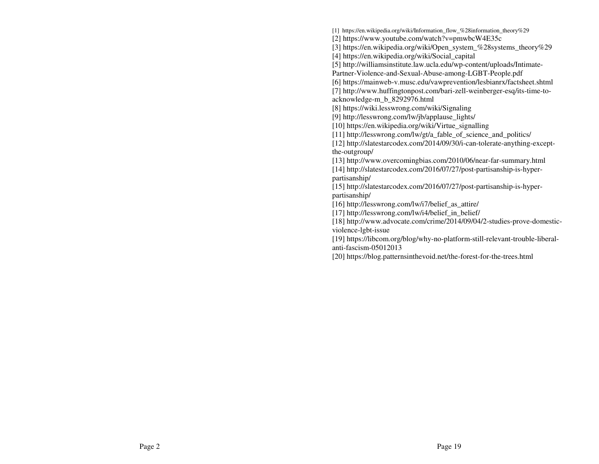[1] https://en.wikipedia.org/wiki/Information\_flow\_%28information\_theory%29

[2] https://www.youtube.com/watch?v=pmwbcW4E35c

[3] https://en.wikipedia.org/wiki/Open\_system\_%28systems\_theory%29

[4] https://en.wikipedia.org/wiki/Social\_capital

[5] http://williamsinstitute.law.ucla.edu/wp-content/uploads/Intimate-

Partner-Violence-and-Sexual-Abuse-among-LGBT-People.pdf

[6] https://mainweb-v.musc.edu/vawprevention/lesbianrx/factsheet.shtml

[7] http://www.huffingtonpost.com/bari-zell-weinberger-esq/its-time-toacknowledge-m\_b\_8292976.html

[8] https://wiki.lesswrong.com/wiki/Signaling

[9] http://lesswrong.com/lw/jb/applause\_lights/

[10] https://en.wikipedia.org/wiki/Virtue\_signalling

[11] http://lesswrong.com/lw/gt/a\_fable\_of\_science\_and\_politics/

 [12] http://slatestarcodex.com/2014/09/30/i-can-tolerate-anything-exceptthe-outgroup/

[13] http://www.overcomingbias.com/2010/06/near-far-summary.html

[14] http://slatestarcodex.com/2016/07/27/post-partisanship-is-hyperpartisanship/

 [15] http://slatestarcodex.com/2016/07/27/post-partisanship-is-hyperpartisanship/

[16] http://lesswrong.com/lw/i7/belief\_as\_attire/

[17] http://lesswrong.com/lw/i4/belief\_in\_belief/

 [18] http://www.advocate.com/crime/2014/09/04/2-studies-prove-domesticviolence-lgbt-issue

 [19] https://libcom.org/blog/why-no-platform-still-relevant-trouble-liberalanti-fascism-05012013

[20] https://blog.patternsinthevoid.net/the-forest-for-the-trees.html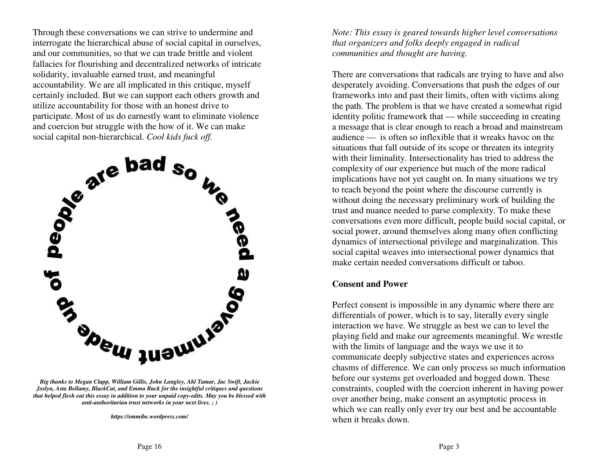Through these conversations we can strive to undermine and interrogate the hierarchical abuse of social capital in ourselves, and our communities, so that we can trade brittle and violent fallacies for flourishing and decentralized networks of intricate solidarity, invaluable earned trust, and meaningful accountability. We are all implicated in this critique, myself certainly included. But we can support each others growth and utilize accountability for those with an honest drive to participate. Most of us do earnestly want to eliminate violence and coercion but struggle with the how of it. We can make social capital non-hierarchical. *Cool kids fuck off.* 



*Big thanks to Megan Clapp, William Gillis, John Langley, Ahl Tamar, Jac Swift, Jackie Joslyn, Asta Bellamy, BlackCat, and Emma Buck for the insightful critiques and questions that helped flesh out this essay in addition to your unpaid copy-edits. May you be blessed with anti-authoritarian trust networks in your next lives. ; )* 

*https://emmibe.wordpress.com/* 

*Note: This essay is geared towards higher level conversations that organizers and folks deeply engaged in radicalcommunities and thought are having.* 

There are conversations that radicals are trying to have and also desperately avoiding. Conversations that push the edges of our frameworks into and past their limits, often with victims along the path. The problem is that we have created a somewhat rigid identity politic framework that — while succeeding in creating a message that is clear enough to reach a broad and mainstream audience — is often so inflexible that it wreaks havoc on the situations that fall outside of its scope or threaten its integrity with their liminality. Intersectionality has tried to address the complexity of our experience but much of the more radical implications have not yet caught on. In many situations we try to reach beyond the point where the discourse currently is without doing the necessary preliminary work of building the trust and nuance needed to parse complexity. To make these conversations even more difficult, people build social capital, or social power, around themselves along many often conflicting dynamics of intersectional privilege and marginalization. This social capital weaves into intersectional power dynamics that make certain needed conversations difficult or taboo.

#### **Consent and Power**

Perfect consent is impossible in any dynamic where there are differentials of power, which is to say, literally every single interaction we have. We struggle as best we can to level the playing field and make our agreements meaningful. We wrestle with the limits of language and the ways we use it to communicate deeply subjective states and experiences across chasms of difference. We can only process so much information before our systems get overloaded and bogged down. These constraints, coupled with the coercion inherent in having power over another being, make consent an asymptotic process in which we can really only ever try our best and be accountable when it breaks down.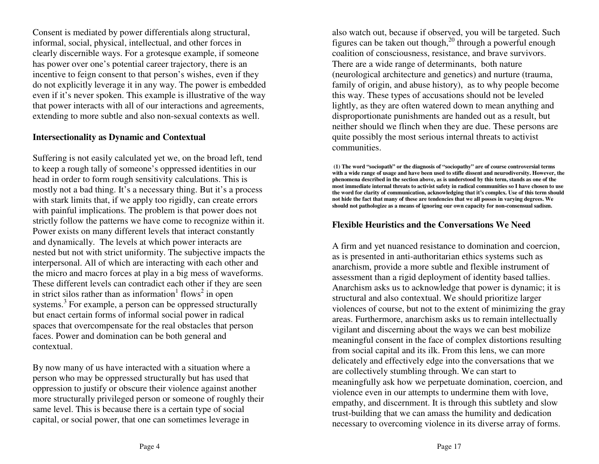Consent is mediated by power differentials along structural, informal, social, physical, intellectual, and other forces in clearly discernible ways. For a grotesque example, if someone has power over one's potential career trajectory, there is an incentive to feign consent to that person's wishes, even if they do not explicitly leverage it in any way. The power is embedded even if it's never spoken. This example is illustrative of the way that power interacts with all of our interactions and agreements, extending to more subtle and also non-sexual contexts as well.

#### **Intersectionality as Dynamic and Contextual**

Suffering is not easily calculated yet we, on the broad left, tend to keep a rough tally of someone's oppressed identities in our head in order to form rough sensitivity calculations. This is mostly not a bad thing. It's a necessary thing. But it's a process with stark limits that, if we apply too rigidly, can create errors with painful implications. The problem is that power does not strictly follow the patterns we have come to recognize within it. Power exists on many different levels that interact constantly and dynamically. The levels at which power interacts are nested but not with strict uniformity. The subjective impacts the interpersonal. All of which are interacting with each other and the micro and macro forces at play in a big mess of waveforms. These different levels can contradict each other if they are seen in strict silos rather than as information<sup>1</sup> flows<sup>2</sup> in open systems.<sup>3</sup> For example, a person can be oppressed structurally but enact certain forms of informal social power in radical spaces that overcompensate for the real obstacles that person faces. Power and domination can be both general andcontextual.

By now many of us have interacted with a situation where a person who may be oppressed structurally but has used that oppression to justify or obscure their violence against another more structurally privileged person or someone of roughly their same level. This is because there is a certain type of social capital, or social power, that one can sometimes leverage in

also watch out, because if observed, you will be targeted. Such figures can be taken out though,<sup>20</sup> through a powerful enough coalition of consciousness, resistance, and brave survivors. There are a wide range of determinants, both nature (neurological architecture and genetics) and nurture (trauma, family of origin, and abuse history), as to why people become this way. These types of accusations should not be leveled lightly, as they are often watered down to mean anything and disproportionate punishments are handed out as a result, but neither should we flinch when they are due. These persons are quite possibly the most serious internal threats to activist communities.

 **(1) The word "sociopath" or the diagnosis of "sociopathy" are of course controversial terms with a wide range of usage and have been used to stifle dissent and neurodiversity. However, the phenomena described in the section above, as is understood by this term, stands as one of the most immediate internal threats to activist safety in radical communities so I have chosen to use the word for clarity of communication, acknowledging that it's complex. Use of this term should not hide the fact that many of these are tendencies that we all posses in varying degrees. We should not pathologize as a means of ignoring our own capacity for non-consensual sadism.** 

### **Flexible Heuristics and the Conversations We Need**

A firm and yet nuanced resistance to domination and coercion, as is presented in anti-authoritarian ethics systems such as anarchism, provide a more subtle and flexible instrument of assessment than a rigid deployment of identity based tallies. Anarchism asks us to acknowledge that power is dynamic; it is structural and also contextual. We should prioritize larger violences of course, but not to the extent of minimizing the gray areas. Furthermore, anarchism asks us to remain intellectually vigilant and discerning about the ways we can best mobilize meaningful consent in the face of complex distortions resulting from social capital and its ilk. From this lens, we can more delicately and effectively edge into the conversations that we are collectively stumbling through. We can start to meaningfully ask how we perpetuate domination, coercion, and violence even in our attempts to undermine them with love, empathy, and discernment. It is through this subtlety and slow trust-building that we can amass the humility and dedication necessary to overcoming violence in its diverse array of forms.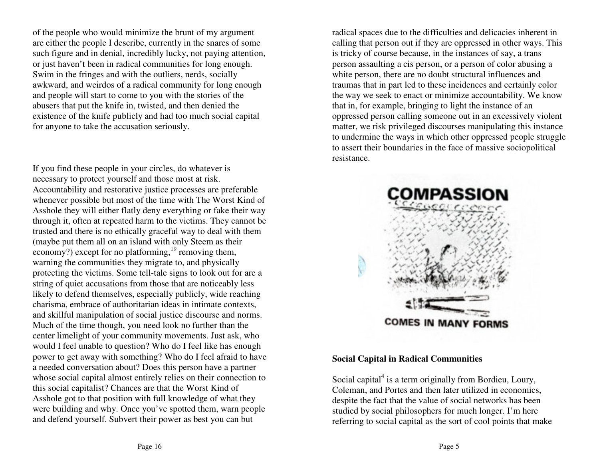of the people who would minimize the brunt of my argument are either the people I describe, currently in the snares of some such figure and in denial, incredibly lucky, not paying attention, or just haven't been in radical communities for long enough. Swim in the fringes and with the outliers, nerds, socially awkward, and weirdos of a radical community for long enough and people will start to come to you with the stories of the abusers that put the knife in, twisted, and then denied the existence of the knife publicly and had too much social capital for anyone to take the accusation seriously.

If you find these people in your circles, do whatever is necessary to protect yourself and those most at risk. Accountability and restorative justice processes are preferable whenever possible but most of the time with The Worst Kind of Asshole they will either flatly deny everything or fake their way through it, often at repeated harm to the victims. They cannot be trusted and there is no ethically graceful way to deal with them (maybe put them all on an island with only Steem as their economy?) except for no platforming,  $^{19}$  removing them, warning the communities they migrate to, and physically protecting the victims. Some tell-tale signs to look out for are a string of quiet accusations from those that are noticeably less likely to defend themselves, especially publicly, wide reaching charisma, embrace of authoritarian ideas in intimate contexts, and skillful manipulation of social justice discourse and norms. Much of the time though, you need look no further than the center limelight of your community movements. Just ask, who would I feel unable to question? Who do I feel like has enough power to get away with something? Who do I feel afraid to have a needed conversation about? Does this person have a partner whose social capital almost entirely relies on their connection to this social capitalist? Chances are that the Worst Kind of Asshole got to that position with full knowledge of what they were building and why. Once you've spotted them, warn people and defend yourself. Subvert their power as best you can but

radical spaces due to the difficulties and delicacies inherent in calling that person out if they are oppressed in other ways. This is tricky of course because, in the instances of say, a trans person assaulting a cis person, or a person of color abusing a white person, there are no doubt structural influences and traumas that in part led to these incidences and certainly color the way we seek to enact or minimize accountability. We know that in, for example, bringing to light the instance of an oppressed person calling someone out in an excessively violent matter, we risk privileged discourses manipulating this instance to undermine the ways in which other oppressed people struggle to assert their boundaries in the face of massive sociopolitical resistance.



#### **Social Capital in Radical Communities**

Social capital $4$  is a term originally from Bordieu, Loury, Coleman, and Portes and then later utilized in economics, despite the fact that the value of social networks has been studied by social philosophers for much longer. I'm here referring to social capital as the sort of cool points that make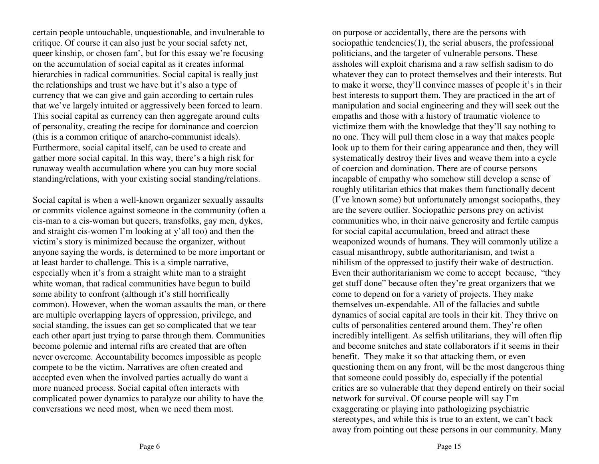certain people untouchable, unquestionable, and invulnerable to critique. Of course it can also just be your social safety net, queer kinship, or chosen fam', but for this essay we're focusing on the accumulation of social capital as it creates informal hierarchies in radical communities. Social capital is really just the relationships and trust we have but it's also a type of currency that we can give and gain according to certain rules that we've largely intuited or aggressively been forced to learn. This social capital as currency can then aggregate around cults of personality, creating the recipe for dominance and coercion (this is a common critique of anarcho-communist ideals). Furthermore, social capital itself, can be used to create and gather more social capital. In this way, there's a high risk for runaway wealth accumulation where you can buy more social standing/relations, with your existing social standing/relations.

Social capital is when a well-known organizer sexually assaults or commits violence against someone in the community (often a cis-man to a cis-woman but queers, transfolks, gay men, dykes, and straight cis-women I'm looking at y'all too) and then the victim's story is minimized because the organizer, without anyone saying the words, is determined to be more important or at least harder to challenge. This is a simple narrative, especially when it's from a straight white man to a straight white woman, that radical communities have begun to build some ability to confront (although it's still horrifically common). However, when the woman assaults the man, or there are multiple overlapping layers of oppression, privilege, and social standing, the issues can get so complicated that we tear each other apart just trying to parse through them. Communities become polemic and internal rifts are created that are often never overcome. Accountability becomes impossible as people compete to be the victim. Narratives are often created and accepted even when the involved parties actually do want a more nuanced process. Social capital often interacts with complicated power dynamics to paralyze our ability to have the conversations we need most, when we need them most.

sociopathic tendencies(1), the serial abusers, the professional politicians, and the targeter of vulnerable persons. These assholes will exploit charisma and a raw selfish sadism to do whatever they can to protect themselves and their interests. But to make it worse, they'll convince masses of people it's in their best interests to support them. They are practiced in the art of manipulation and social engineering and they will seek out the empaths and those with a history of traumatic violence to victimize them with the knowledge that they'll say nothing to no one. They will pull them close in a way that makes people look up to them for their caring appearance and then, they will systematically destroy their lives and weave them into a cycle of coercion and domination. There are of course persons incapable of empathy who somehow still develop a sense of roughly utilitarian ethics that makes them functionally decent (I've known some) but unfortunately amongst sociopaths, they are the severe outlier. Sociopathic persons prey on activist communities who, in their naive generosity and fertile campus for social capital accumulation, breed and attract these weaponized wounds of humans. They will commonly utilize a casual misanthropy, subtle authoritarianism, and twist a nihilism of the oppressed to justify their wake of destruction. Even their authoritarianism we come to accept because, "they get stuff done" because often they're great organizers that we come to depend on for a variety of projects. They make themselves un-expendable. All of the fallacies and subtle dynamics of social capital are tools in their kit. They thrive on cults of personalities centered around them. They're often incredibly intelligent. As selfish utilitarians, they will often flip and become snitches and state collaborators if it seems in their benefit. They make it so that attacking them, or even questioning them on any front, will be the most dangerous thing that someone could possibly do, especially if the potential critics are so vulnerable that they depend entirely on their social network for survival. Of course people will say I'm exaggerating or playing into pathologizing psychiatric stereotypes, and while this is true to an extent, we can't back away from pointing out these persons in our community. Many

on purpose or accidentally, there are the persons with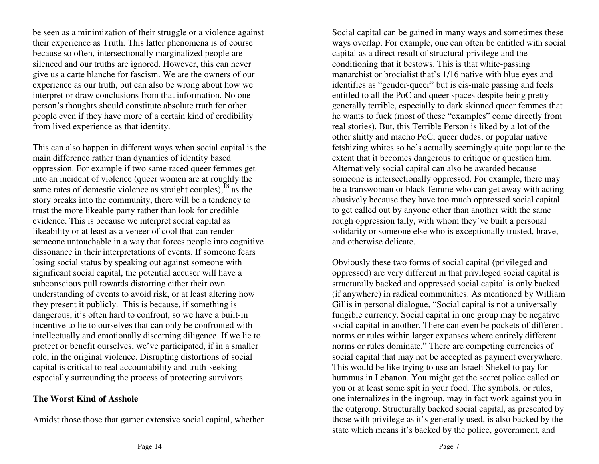be seen as a minimization of their struggle or a violence against their experience as Truth. This latter phenomena is of course because so often, intersectionally marginalized people are silenced and our truths are ignored. However, this can never give us a carte blanche for fascism. We are the owners of our experience as our truth, but can also be wrong about how we interpret or draw conclusions from that information. No one person's thoughts should constitute absolute truth for other people even if they have more of a certain kind of credibility from lived experience as that identity.

This can also happen in different ways when social capital is the main difference rather than dynamics of identity based oppression. For example if two same raced queer femmes get into an incident of violence (queer women are at roughly the same rates of domestic violence as straight couples),  $^{18}$  as the story breaks into the community, there will be a tendency to trust the more likeable party rather than look for credible evidence. This is because we interpret social capital as likeability or at least as a veneer of cool that can render someone untouchable in a way that forces people into cognitive dissonance in their interpretations of events. If someone fears losing social status by speaking out against someone with significant social capital, the potential accuser will have a subconscious pull towards distorting either their own understanding of events to avoid risk, or at least altering how they present it publicly. This is because, if something is dangerous, it's often hard to confront, so we have a built-in incentive to lie to ourselves that can only be confronted with intellectually and emotionally discerning diligence. If we lie to protect or benefit ourselves, we've participated, if in a smaller role, in the original violence. Disrupting distortions of social capital is critical to real accountability and truth-seeking especially surrounding the process of protecting survivors.

#### **The Worst Kind of Asshole**

Amidst those those that garner extensive social capital, whether

Social capital can be gained in many ways and sometimes these ways overlap. For example, one can often be entitled with social capital as a direct result of structural privilege and the conditioning that it bestows. This is that white-passing manarchist or brocialist that's 1/16 native with blue eyes and identifies as "gender-queer" but is cis-male passing and feels entitled to all the PoC and queer spaces despite being pretty generally terrible, especially to dark skinned queer femmes that he wants to fuck (most of these "examples" come directly from real stories). But, this Terrible Person is liked by a lot of the other shitty and macho PoC, queer dudes, or popular native fetshizing whites so he's actually seemingly quite popular to the extent that it becomes dangerous to critique or question him. Alternatively social capital can also be awarded because someone is intersectionally oppressed. For example, there may be a transwoman or black-femme who can get away with acting abusively because they have too much oppressed social capital to get called out by anyone other than another with the same rough oppression tally, with whom they've built a personal solidarity or someone else who is exceptionally trusted, brave, and otherwise delicate.

Obviously these two forms of social capital (privileged and oppressed) are very different in that privileged social capital is structurally backed and oppressed social capital is only backed (if anywhere) in radical communities. As mentioned by William Gillis in personal dialogue, "Social capital is not a universally fungible currency. Social capital in one group may be negative social capital in another. There can even be pockets of different norms or rules within larger expanses where entirely different norms or rules dominate." There are competing currencies of social capital that may not be accepted as payment everywhere. This would be like trying to use an Israeli Shekel to pay for hummus in Lebanon. You might get the secret police called on you or at least some spit in your food. The symbols, or rules, one internalizes in the ingroup, may in fact work against you in the outgroup. Structurally backed social capital, as presented by those with privilege as it's generally used, is also backed by the state which means it's backed by the police, government, and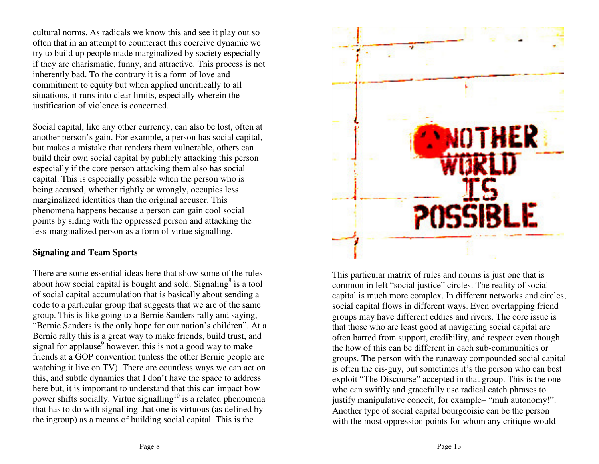cultural norms. As radicals we know this and see it play out so often that in an attempt to counteract this coercive dynamic we try to build up people made marginalized by society especially if they are charismatic, funny, and attractive. This process is not inherently bad. To the contrary it is a form of love and commitment to equity but when applied uncritically to all situations, it runs into clear limits, especially wherein the justification of violence is concerned.

Social capital, like any other currency, can also be lost, often at another person's gain. For example, a person has social capital, but makes a mistake that renders them vulnerable, others can build their own social capital by publicly attacking this person especially if the core person attacking them also has social capital. This is especially possible when the person who is being accused, whether rightly or wrongly, occupies less marginalized identities than the original accuser. This phenomena happens because a person can gain cool social points by siding with the oppressed person and attacking the less-marginalized person as a form of virtue signalling.

## **Signaling and Team Sports**

There are some essential ideas here that show some of the rules about how social capital is bought and sold. Signaling $^8$  is a tool of social capital accumulation that is basically about sending a code to a particular group that suggests that we are of the same group. This is like going to a Bernie Sanders rally and saying, "Bernie Sanders is the only hope for our nation's children". At a Bernie rally this is a great way to make friends, build trust, and signal for applause $9$  however, this is not a good way to make friends at a GOP convention (unless the other Bernie people are watching it live on TV). There are countless ways we can act on this, and subtle dynamics that I don't have the space to address here but, it is important to understand that this can impact how power shifts socially. Virtue signalling<sup>10</sup> is a related phenomena that has to do with signalling that one is virtuous (as defined by the ingroup) as a means of building social capital. This is the



This particular matrix of rules and norms is just one that is common in left "social justice" circles. The reality of social capital is much more complex. In different networks and circles, social capital flows in different ways. Even overlapping friend groups may have different eddies and rivers. The core issue is that those who are least good at navigating social capital are often barred from support, credibility, and respect even though the how of this can be different in each sub-communities or groups. The person with the runaway compounded social capital is often the cis-guy, but sometimes it's the person who can best exploit "The Discourse" accepted in that group. This is the one who can swiftly and gracefully use radical catch phrases to justify manipulative conceit, for example– "muh autonomy!". Another type of social capital bourgeoisie can be the person with the most oppression points for whom any critique would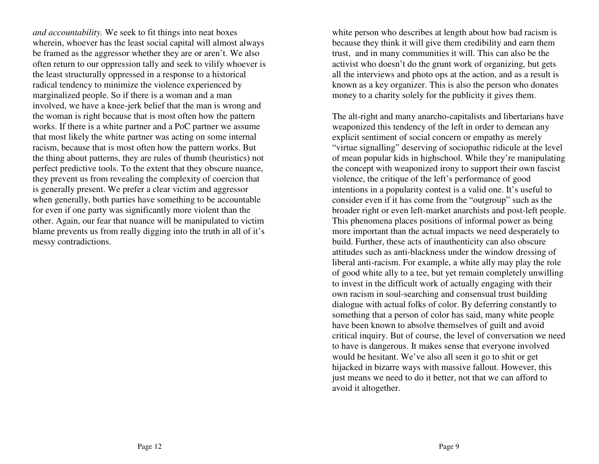*and accountability.* We seek to fit things into neat boxes wherein, whoever has the least social capital will almost always be framed as the aggressor whether they are or aren't. We also often return to our oppression tally and seek to vilify whoever is the least structurally oppressed in a response to a historical radical tendency to minimize the violence experienced by marginalized people. So if there is a woman and a man involved, we have a knee-jerk belief that the man is wrong and the woman is right because that is most often how the pattern works. If there is a white partner and a PoC partner we assume that most likely the white partner was acting on some internal racism, because that is most often how the pattern works. But the thing about patterns, they are rules of thumb (heuristics) not perfect predictive tools. To the extent that they obscure nuance, they prevent us from revealing the complexity of coercion that is generally present. We prefer a clear victim and aggressor when generally, both parties have something to be accountable for even if one party was significantly more violent than the other. Again, our fear that nuance will be manipulated to victim blame prevents us from really digging into the truth in all of it's messy contradictions.

white person who describes at length about how bad racism is because they think it will give them credibility and earn them trust, and in many communities it will. This can also be the activist who doesn't do the grunt work of organizing, but gets all the interviews and photo ops at the action, and as a result is known as a key organizer. This is also the person who donates money to a charity solely for the publicity it gives them.

The alt-right and many anarcho-capitalists and libertarians have weaponized this tendency of the left in order to demean any explicit sentiment of social concern or empathy as merely "virtue signalling" deserving of sociopathic ridicule at the level of mean popular kids in highschool. While they're manipulating the concept with weaponized irony to support their own fascist violence, the critique of the left's performance of good intentions in a popularity contest is a valid one. It's useful to consider even if it has come from the "outgroup" such as the broader right or even left-market anarchists and post-left people. This phenomena places positions of informal power as being more important than the actual impacts we need desperately to build. Further, these acts of inauthenticity can also obscure attitudes such as anti-blackness under the window dressing of liberal anti-racism. For example, a white ally may play the role of good white ally to a tee, but yet remain completely unwilling to invest in the difficult work of actually engaging with their own racism in soul-searching and consensual trust building dialogue with actual folks of color. By deferring constantly to something that a person of color has said, many white people have been known to absolve themselves of guilt and avoid critical inquiry. But of course, the level of conversation we need to have is dangerous. It makes sense that everyone involved would be hesitant. We've also all seen it go to shit or get hijacked in bizarre ways with massive fallout. However, this just means we need to do it better, not that we can afford to avoid it altogether.